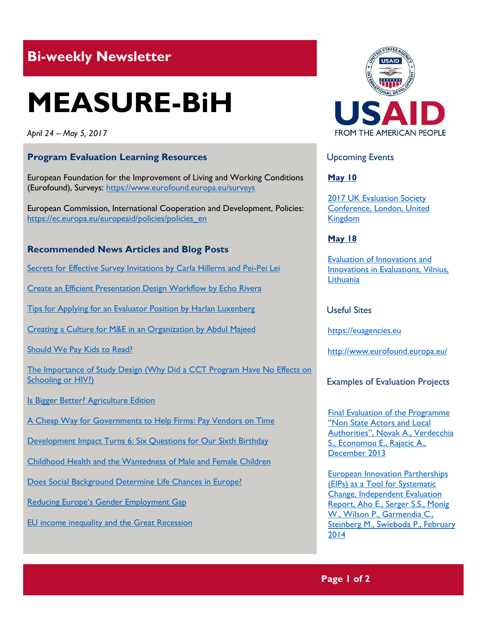# **Bi-weekly Newsletter**

# **MEASURE-BiH**

*April 24 – May 5, 2017*

# **Program Evaluation Learning Resources**

European Foundation for the Improvement of Living and Working Conditions (Eurofound), Surveys:<https://www.eurofound.europa.eu/surveys>

European Commission, International Cooperation and Development, Policies: [https://ec.europa.eu/europeaid/policies/policies\\_en](https://ec.europa.eu/europeaid/policies/policies_en)

#### **Recommended News Articles and Blog Posts**

[Secrets for Effective Survey Invitations by Carla Hillerns and Pei-Pei Lei](http://aea365.org/blog/secrets-for-effective-survey-invitations-by-carla-hillerns-and-pei-pei-lei/?utm_source=feedburner&utm_medium=feed&utm_campaign=Feed%3A+aea365+%28AEA365%29)

[Create an Efficient Presentation Design Workflow by Echo Rivera](http://aea365.org/blog/create-an-efficient-presentation-design-workflow-by-echo-rivera/?utm_source=feedburner&utm_medium=feed&utm_campaign=Feed%3A+aea365+%28AEA365%29)

[Tips for Applying for an Evaluator Position by Harlan Luxenberg](http://aea365.org/blog/tips-for-applying-for-an-evaluator-position-by-harlan-luxenberg/?utm_source=feedburner&utm_medium=feed&utm_campaign=Feed%3A+aea365+%28AEA365%29) 

[Creating a Culture for M&E in an Organization by Abdul Majeed](http://aea365.org/blog/creating-a-culture-for-me-in-an-organization-by-abdul-majeed/?utm_source=feedburner&utm_medium=feed&utm_campaign=Feed%3A+aea365+%28AEA365%29)

[Should We Pay Kids to Read?](https://blogs.worldbank.org/impactevaluations/should-we-pay-kids-read)

[The Importance of Study Design \(Why Did a CCT Program Have No Effects on](https://blogs.worldbank.org/impactevaluations/importance-study-design-why-did-cct-program-have-no-effects-schooling-or-hiv)  [Schooling or HIV?\)](https://blogs.worldbank.org/impactevaluations/importance-study-design-why-did-cct-program-have-no-effects-schooling-or-hiv)

- [Is Bigger Better? Agriculture Edition](https://blogs.worldbank.org/impactevaluations/bigger-better-agriculture-edition)
- [A Cheap Way for Governments to Help Firms: Pay Vendors on Time](https://blogs.worldbank.org/impactevaluations/cheap-way-governments-help-firms-pay-vendors-time)

[Development Impact Turns 6: Six Questions for Our Sixth Birthday](https://blogs.worldbank.org/impactevaluations/development-impact-turns-6-six-questions-our-sixth-birthday) 

[Childhood Health and the Wantedness of Male and Female Children](https://drive.google.com/file/d/0B274-JLBCKcdZGZjTGNaLTEwSHc/view)

[Does Social Background Determine Life Chances in Europe?](https://www.eurofound.europa.eu/news/news-articles/does-social-background-determine-life-chances-in-europe)

Reducing Europe['s Gender Employment Gap](https://www.eurofound.europa.eu/news/news-articles/reducing-europes-gender-employment-gap)

[EU income inequality and the Great Recession](https://www.eurofound.europa.eu/news/news-articles/eu-income-inequality-and-the-great-recession)



## Upcoming Events

**May 10**

[2017 UK Evaluation Society](http://mande.co.uk/conferences/?event_id1=30)  [Conference, London, United](http://mande.co.uk/conferences/?event_id1=30)  [Kingdom](http://mande.co.uk/conferences/?event_id1=30)

#### **May 18**

[Evaluation of Innovations and](http://mande.co.uk/conferences/?event_id1=27)  [Innovations in Evaluations, Vilnius,](http://mande.co.uk/conferences/?event_id1=27)  **[Lithuania](http://mande.co.uk/conferences/?event_id1=27)** 

# Useful Sites

[https://euagencies.eu](https://euagencies.eu/)

[http://w](http://gtf.esmap.org/)ww.eurofound.europa.eu/

Examples of Evaluation Projects

[Final Evaluation of the Programme](https://ec.europa.eu/europeaid/sites/devco/files/nsa_la_final_evaluation_report_volume_i.pdf)  ["Non State Actors and Local](https://ec.europa.eu/europeaid/sites/devco/files/nsa_la_final_evaluation_report_volume_i.pdf)  Authorities"[, Novak A., Verdecchia](https://ec.europa.eu/europeaid/sites/devco/files/nsa_la_final_evaluation_report_volume_i.pdf)  [S., Economou E., Rajacic A.,](https://ec.europa.eu/europeaid/sites/devco/files/nsa_la_final_evaluation_report_volume_i.pdf)  [December 2013](https://ec.europa.eu/europeaid/sites/devco/files/nsa_la_final_evaluation_report_volume_i.pdf)

European Innovation Partherships (EIPs) as a Tool for Systematic Change, Independent Evaluation Report, Aho E., Serger S.S., Monig W., Wilson P., Garmendia C., Steinberg M., Swieboda P., February 2014